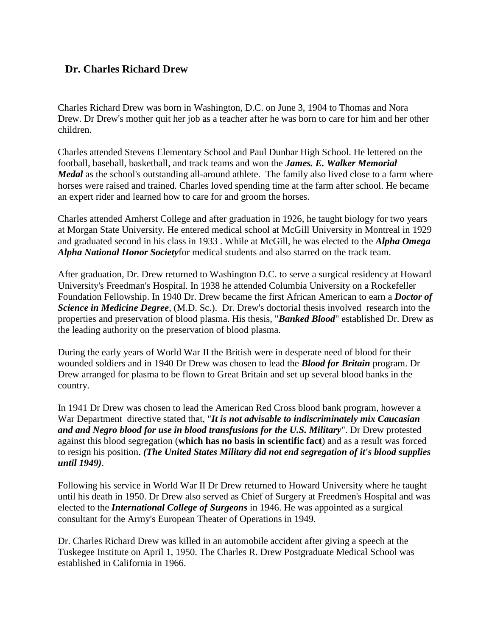## **Dr. Charles Richard Drew**

Charles Richard Drew was born in Washington, D.C. on June 3, 1904 to Thomas and Nora Drew. Dr Drew's mother quit her job as a teacher after he was born to care for him and her other children.

Charles attended Stevens Elementary School and Paul Dunbar High School. He lettered on the football, baseball, basketball, and track teams and won the *James. E. Walker Memorial Medal* as the school's outstanding all-around athlete. The family also lived close to a farm where horses were raised and trained. Charles loved spending time at the farm after school. He became an expert rider and learned how to care for and groom the horses.

Charles attended Amherst College and after graduation in 1926, he taught biology for two years at Morgan State University. He entered medical school at McGill University in Montreal in 1929 and graduated second in his class in 1933 . While at McGill, he was elected to the *Alpha Omega Alpha National Honor Society*for medical students and also starred on the track team.

After graduation, Dr. Drew returned to Washington D.C. to serve a surgical residency at Howard University's Freedman's Hospital. In 1938 he attended Columbia University on a Rockefeller Foundation Fellowship. In 1940 Dr. Drew became the first African American to earn a *Doctor of Science in Medicine Degree*, (M.D. Sc.). Dr. Drew's doctorial thesis involved research into the properties and preservation of blood plasma. His thesis, "*Banked Blood*" established Dr. Drew as the leading authority on the preservation of blood plasma.

During the early years of World War II the British were in desperate need of blood for their wounded soldiers and in 1940 Dr Drew was chosen to lead the *Blood for Britain* program. Dr Drew arranged for plasma to be flown to Great Britain and set up several blood banks in the country.

In 1941 Dr Drew was chosen to lead the American Red Cross blood bank program, however a War Department directive stated that, "*It is not advisable to indiscriminately mix Caucasian and and Negro blood for use in blood transfusions for the U.S. Military*". Dr Drew protested against this blood segregation (**which has no basis in scientific fact**) and as a result was forced to resign his position. *(The United States Military did not end segregation of it's blood supplies until 1949)*.

Following his service in World War II Dr Drew returned to Howard University where he taught until his death in 1950. Dr Drew also served as Chief of Surgery at Freedmen's Hospital and was elected to the *International College of Surgeons* in 1946. He was appointed as a surgical consultant for the Army's European Theater of Operations in 1949.

Dr. Charles Richard Drew was killed in an automobile accident after giving a speech at the Tuskegee Institute on April 1, 1950. The Charles R. Drew Postgraduate Medical School was established in California in 1966.